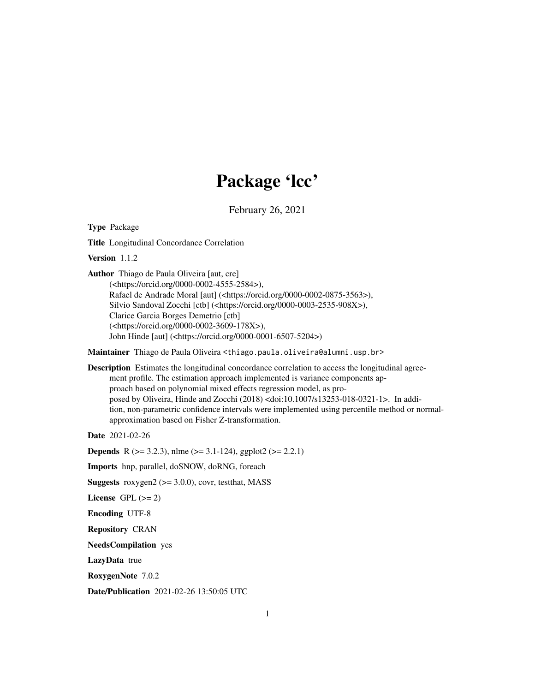# Package 'lcc'

February 26, 2021

<span id="page-0-0"></span>Type Package

Title Longitudinal Concordance Correlation

Version 1.1.2

Author Thiago de Paula Oliveira [aut, cre]

(<https://orcid.org/0000-0002-4555-2584>), Rafael de Andrade Moral [aut] (<https://orcid.org/0000-0002-0875-3563>), Silvio Sandoval Zocchi [ctb] (<https://orcid.org/0000-0003-2535-908X>), Clarice Garcia Borges Demetrio [ctb] (<https://orcid.org/0000-0002-3609-178X>), John Hinde [aut] (<https://orcid.org/0000-0001-6507-5204>)

Maintainer Thiago de Paula Oliveira <thiago.paula.oliveira@alumni.usp.br>

Description Estimates the longitudinal concordance correlation to access the longitudinal agreement profile. The estimation approach implemented is variance components approach based on polynomial mixed effects regression model, as proposed by Oliveira, Hinde and Zocchi (2018) <doi:10.1007/s13253-018-0321-1>. In addition, non-parametric confidence intervals were implemented using percentile method or normalapproximation based on Fisher Z-transformation.

Date 2021-02-26

**Depends** R ( $>= 3.2.3$ ), nlme ( $>= 3.1-124$ ), ggplot2 ( $>= 2.2.1$ )

Imports hnp, parallel, doSNOW, doRNG, foreach

**Suggests** roxygen $2$  ( $>= 3.0.0$ ), covr, test that, MASS

License GPL  $(>= 2)$ 

Encoding UTF-8

Repository CRAN

NeedsCompilation yes

LazyData true

RoxygenNote 7.0.2

Date/Publication 2021-02-26 13:50:05 UTC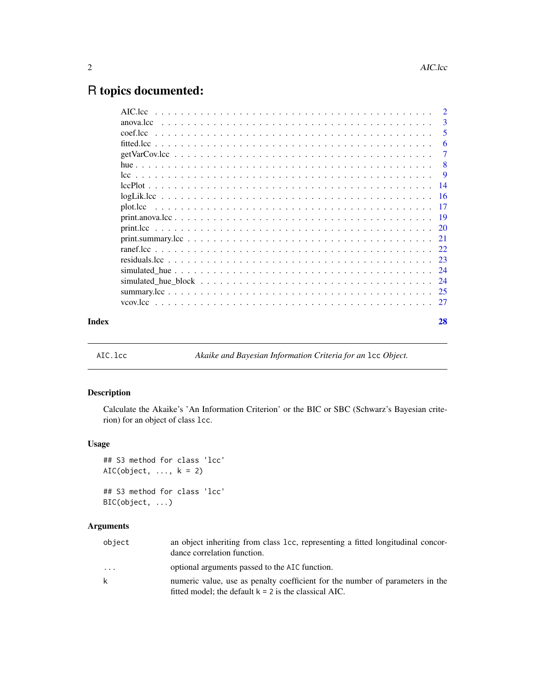## <span id="page-1-0"></span>R topics documented:

|       |           | $\overline{2}$ |
|-------|-----------|----------------|
|       | anova.lcc | $\overline{3}$ |
|       |           | -5             |
|       |           | -6             |
|       |           | $\overline{7}$ |
|       |           | - 8            |
|       |           |                |
|       |           |                |
|       |           |                |
|       |           |                |
|       |           |                |
|       |           |                |
|       |           |                |
|       |           |                |
|       |           |                |
|       |           |                |
|       |           |                |
|       |           |                |
|       |           |                |
| Index |           | 28             |

<span id="page-1-1"></span>AIC.lcc *Akaike and Bayesian Information Criteria for an* lcc *Object.*

#### Description

Calculate the Akaike's 'An Information Criterion' or the BIC or SBC (Schwarz's Bayesian criterion) for an object of class lcc.

#### Usage

```
## S3 method for class 'lcc'
AIC(object, \dots, k = 2)
## S3 method for class 'lcc'
BIC(object, ...)
```
#### Arguments

| object                  | an object inheriting from class 1cc, representing a fitted longitudinal concor-<br>dance correlation function.                           |
|-------------------------|------------------------------------------------------------------------------------------------------------------------------------------|
| $\cdot$ $\cdot$ $\cdot$ | optional arguments passed to the AIC function.                                                                                           |
| k                       | numeric value, use as penalty coefficient for the number of parameters in the<br>fitted model; the default $k = 2$ is the classical AIC. |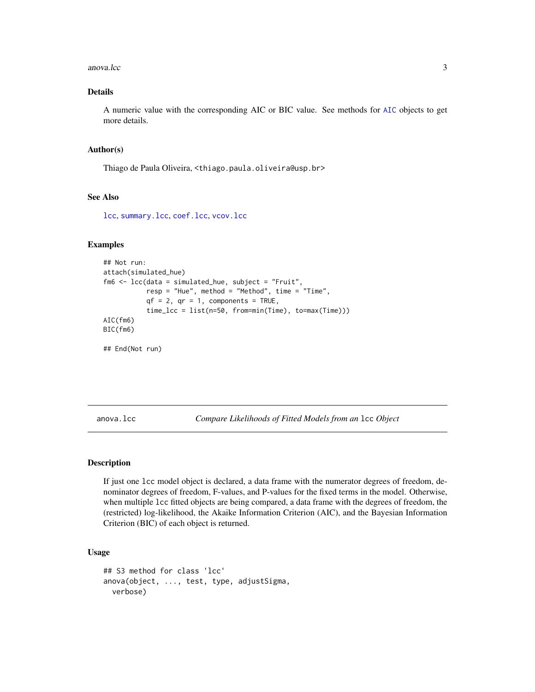#### <span id="page-2-0"></span>anova.lcc 3

#### Details

A numeric value with the corresponding AIC or BIC value. See methods for [AIC](#page-0-0) objects to get more details.

#### Author(s)

Thiago de Paula Oliveira, <thiago.paula.oliveira@usp.br>

#### See Also

[lcc](#page-8-1), [summary.lcc](#page-24-1), [coef.lcc](#page-4-1), [vcov.lcc](#page-26-1)

#### Examples

```
## Not run:
attach(simulated_hue)
fm6 <- lcc(data = simulated_hue, subject = "Fruit",
          resp = "Hue", method = "Method", time = "Time",
           qf = 2, qr = 1, components = TRUE,
           time_lcc = list(n=50, from=min(Time), to=max(Time)))
AIC(fm6)
BIC(fm6)
```
## End(Not run)

<span id="page-2-1"></span>anova.lcc *Compare Likelihoods of Fitted Models from an* lcc *Object*

#### Description

If just one lcc model object is declared, a data frame with the numerator degrees of freedom, denominator degrees of freedom, F-values, and P-values for the fixed terms in the model. Otherwise, when multiple lcc fitted objects are being compared, a data frame with the degrees of freedom, the (restricted) log-likelihood, the Akaike Information Criterion (AIC), and the Bayesian Information Criterion (BIC) of each object is returned.

#### Usage

```
## S3 method for class 'lcc'
anova(object, ..., test, type, adjustSigma,
 verbose)
```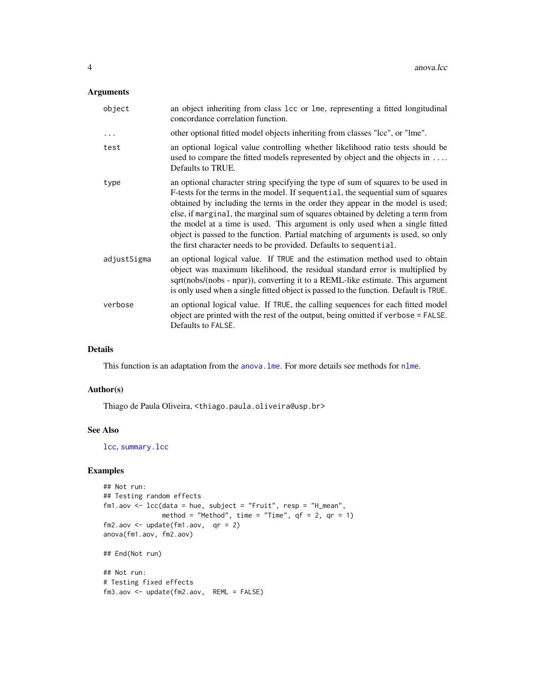#### <span id="page-3-0"></span>Arguments

| object      | an object inheriting from class 1cc or 1me, representing a fitted longitudinal<br>concordance correlation function.                                                                                                                                                                                                                                                                                                                                                                                                                                                                |
|-------------|------------------------------------------------------------------------------------------------------------------------------------------------------------------------------------------------------------------------------------------------------------------------------------------------------------------------------------------------------------------------------------------------------------------------------------------------------------------------------------------------------------------------------------------------------------------------------------|
| $\cdots$    | other optional fitted model objects inheriting from classes "lcc", or "lme".                                                                                                                                                                                                                                                                                                                                                                                                                                                                                                       |
| test        | an optional logical value controlling whether likelihood ratio tests should be<br>used to compare the fitted models represented by object and the objects in<br>Defaults to TRUE.                                                                                                                                                                                                                                                                                                                                                                                                  |
| type        | an optional character string specifying the type of sum of squares to be used in<br>F-tests for the terms in the model. If sequential, the sequential sum of squares<br>obtained by including the terms in the order they appear in the model is used;<br>else, if marginal, the marginal sum of squares obtained by deleting a term from<br>the model at a time is used. This argument is only used when a single fitted<br>object is passed to the function. Partial matching of arguments is used, so only<br>the first character needs to be provided. Defaults to sequential. |
| adjustSigma | an optional logical value. If TRUE and the estimation method used to obtain<br>object was maximum likelihood, the residual standard error is multiplied by<br>sqrt(nobs/(nobs - npar)), converting it to a REML-like estimate. This argument<br>is only used when a single fitted object is passed to the function. Default is TRUE.                                                                                                                                                                                                                                               |
| verbose     | an optional logical value. If TRUE, the calling sequences for each fitted model<br>object are printed with the rest of the output, being omitted if verbose = FALSE.<br>Defaults to FALSE.                                                                                                                                                                                                                                                                                                                                                                                         |

#### Details

This function is an adaptation from the anova. Ime. For more details see methods for [nlme](#page-0-0).

#### Author(s)

Thiago de Paula Oliveira, <thiago.paula.oliveira@usp.br>

#### See Also

[lcc](#page-8-1), [summary.lcc](#page-24-1)

```
## Not run:
## Testing random effects
fm1.aov <- lcc(data = hue, subject = "Fruit", resp = "H_mean",
              method = "Method", time = "Time", qf = 2, qr = 1)
fm2.aov \leq update(fm1.aov, qr = 2)
anova(fm1.aov, fm2.aov)
## End(Not run)
## Not run:
# Testing fixed effects
fm3.aov <- update(fm2.aov, REML = FALSE)
```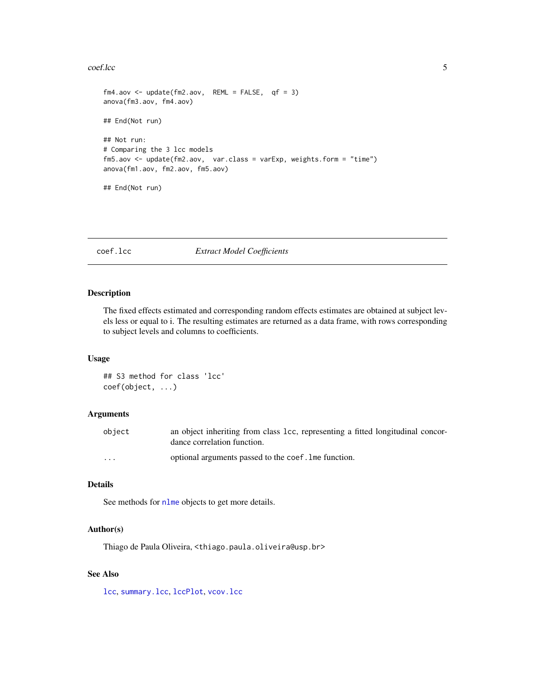#### <span id="page-4-0"></span>coef.lcc 5

```
fm4.aov <- update(fm2.aov, REML = FALSE, qf = 3)
anova(fm3.aov, fm4.aov)
## End(Not run)
## Not run:
# Comparing the 3 lcc models
fm5.aov <- update(fm2.aov, var.class = varExp, weights.form = "time")
anova(fm1.aov, fm2.aov, fm5.aov)
## End(Not run)
```
#### <span id="page-4-1"></span>coef.lcc *Extract Model Coefficients*

#### Description

The fixed effects estimated and corresponding random effects estimates are obtained at subject levels less or equal to i. The resulting estimates are returned as a data frame, with rows corresponding to subject levels and columns to coefficients.

#### Usage

```
## S3 method for class 'lcc'
coef(object, ...)
```
#### Arguments

| object               | an object inheriting from class 1cc, representing a fitted longitudinal concor-<br>dance correlation function. |
|----------------------|----------------------------------------------------------------------------------------------------------------|
| $\ddot{\phantom{0}}$ | optional arguments passed to the coef. Ime function.                                                           |

#### Details

See methods for [nlme](#page-0-0) objects to get more details.

#### Author(s)

Thiago de Paula Oliveira, <thiago.paula.oliveira@usp.br>

#### See Also

[lcc](#page-8-1), [summary.lcc](#page-24-1), [lccPlot](#page-13-1), [vcov.lcc](#page-26-1)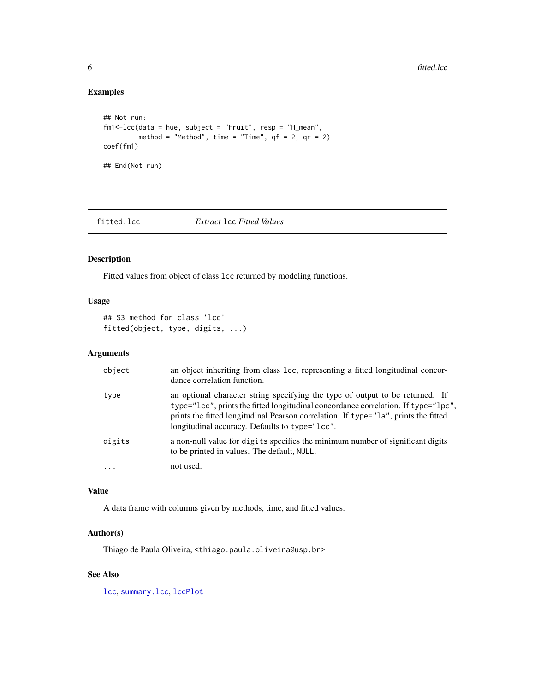#### <span id="page-5-0"></span>Examples

```
## Not run:
fm1<-lcc(data = hue, subject = "Fruit", resp = "H_mean",
         method = "Method", time = "Time", qf = 2, qr = 2)
coef(fm1)
## End(Not run)
```
<span id="page-5-1"></span>fitted.lcc *Extract* lcc *Fitted Values*

#### Description

Fitted values from object of class lcc returned by modeling functions.

#### Usage

```
## S3 method for class 'lcc'
fitted(object, type, digits, ...)
```
#### Arguments

| object    | an object inheriting from class 1cc, representing a fitted longitudinal concor-<br>dance correlation function.                                                                                                                                                                                               |
|-----------|--------------------------------------------------------------------------------------------------------------------------------------------------------------------------------------------------------------------------------------------------------------------------------------------------------------|
| type      | an optional character string specifying the type of output to be returned. If<br>type="lcc", prints the fitted longitudinal concordance correlation. If type="lpc",<br>prints the fitted longitudinal Pearson correlation. If type="1a", prints the fitted<br>longitudinal accuracy. Defaults to type="lcc". |
| digits    | a non-null value for digits specifies the minimum number of significant digits<br>to be printed in values. The default, NULL.                                                                                                                                                                                |
| $\ddotsc$ | not used.                                                                                                                                                                                                                                                                                                    |

#### Value

A data frame with columns given by methods, time, and fitted values.

#### Author(s)

Thiago de Paula Oliveira, <thiago.paula.oliveira@usp.br>

#### See Also

[lcc](#page-8-1), [summary.lcc](#page-24-1), [lccPlot](#page-13-1)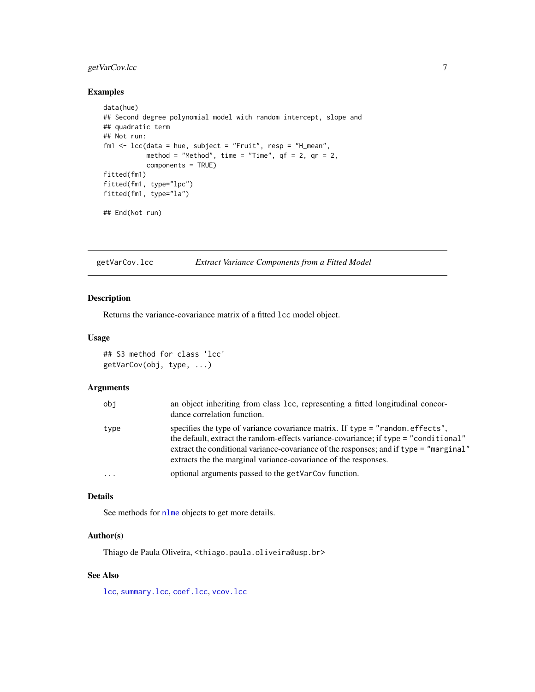#### <span id="page-6-0"></span>getVarCov.lcc 7

#### Examples

```
data(hue)
## Second degree polynomial model with random intercept, slope and
## quadratic term
## Not run:
fm1 <- lcc(data = hue, subject = "Fruit", resp = "H_mean",
          method = "Method", time = "Time", qf = 2, qr = 2,
           components = TRUE)
fitted(fm1)
fitted(fm1, type="lpc")
fitted(fm1, type="la")
## End(Not run)
```
<span id="page-6-1"></span>getVarCov.lcc *Extract Variance Components from a Fitted Model*

#### Description

Returns the variance-covariance matrix of a fitted lcc model object.

#### Usage

## S3 method for class 'lcc' getVarCov(obj, type, ...)

#### Arguments

| obj      | an object inheriting from class 1cc, representing a fitted longitudinal concor-<br>dance correlation function.                                                                                                                                                                                                                     |
|----------|------------------------------------------------------------------------------------------------------------------------------------------------------------------------------------------------------------------------------------------------------------------------------------------------------------------------------------|
| type     | specifies the type of variance covariance matrix. If type = "random.effects",<br>the default, extract the random-effects variance-covariance; if type = "conditional"<br>extract the conditional variance-covariance of the responses; and if type = "marginal"<br>extracts the the marginal variance-covariance of the responses. |
| $\cdots$ | optional arguments passed to the getVarCov function.                                                                                                                                                                                                                                                                               |

#### Details

See methods for [nlme](#page-0-0) objects to get more details.

#### Author(s)

Thiago de Paula Oliveira, <thiago.paula.oliveira@usp.br>

#### See Also

[lcc](#page-8-1), [summary.lcc](#page-24-1), [coef.lcc](#page-4-1), [vcov.lcc](#page-26-1)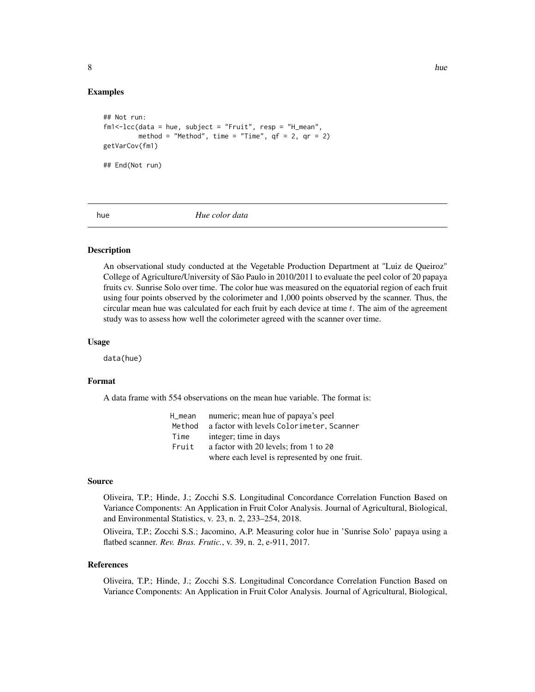#### <span id="page-7-0"></span>Examples

```
## Not run:
fm1<-lcc(data = hue, subject = "Fruit", resp = "H_mean",
        method = "Method", time = "Time", qf = 2, qr = 2)
getVarCov(fm1)
## End(Not run)
```
hue *Hue color data*

#### Description

An observational study conducted at the Vegetable Production Department at "Luiz de Queiroz" College of Agriculture/University of São Paulo in 2010/2011 to evaluate the peel color of 20 papaya fruits cv. Sunrise Solo over time. The color hue was measured on the equatorial region of each fruit using four points observed by the colorimeter and 1,000 points observed by the scanner. Thus, the circular mean hue was calculated for each fruit by each device at time  $t$ . The aim of the agreement study was to assess how well the colorimeter agreed with the scanner over time.

#### Usage

data(hue)

#### Format

A data frame with 554 observations on the mean hue variable. The format is:

| H_mean | numeric; mean hue of papaya's peel            |
|--------|-----------------------------------------------|
| Method | a factor with levels Colorimeter, Scanner     |
| Time   | integer; time in days                         |
| Fruit  | a factor with 20 levels; from 1 to 20         |
|        | where each level is represented by one fruit. |

#### Source

Oliveira, T.P.; Hinde, J.; Zocchi S.S. Longitudinal Concordance Correlation Function Based on Variance Components: An Application in Fruit Color Analysis. Journal of Agricultural, Biological, and Environmental Statistics, v. 23, n. 2, 233–254, 2018.

Oliveira, T.P.; Zocchi S.S.; Jacomino, A.P. Measuring color hue in 'Sunrise Solo' papaya using a flatbed scanner. *Rev. Bras. Frutic.*, v. 39, n. 2, e-911, 2017.

#### References

Oliveira, T.P.; Hinde, J.; Zocchi S.S. Longitudinal Concordance Correlation Function Based on Variance Components: An Application in Fruit Color Analysis. Journal of Agricultural, Biological,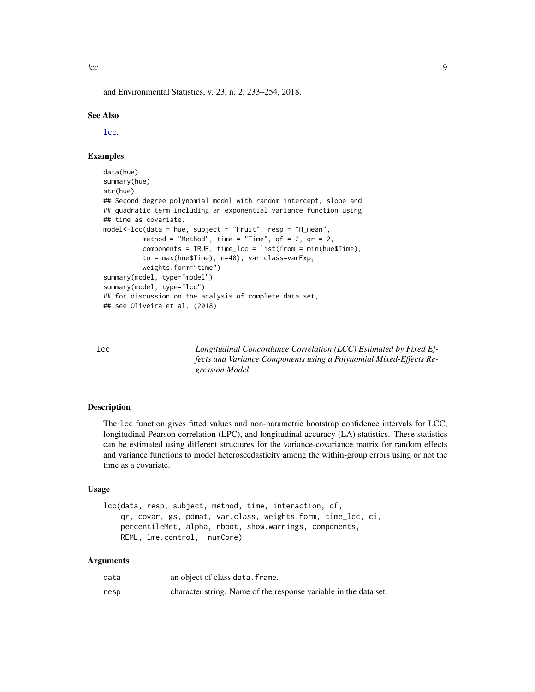<span id="page-8-0"></span> $\lvert$  lcc  $\lvert$ 

and Environmental Statistics, v. 23, n. 2, 233–254, 2018.

#### See Also

[lcc](#page-8-1).

#### Examples

```
data(hue)
summary(hue)
str(hue)
## Second degree polynomial model with random intercept, slope and
## quadratic term including an exponential variance function using
## time as covariate.
model<-lcc(data = hue, subject = "Fruit", resp = "H_mean",
          method = "Method", time = "Time", qf = 2, qr = 2,
          components = TRUE, time_lcc = list(from = min(hue$Time),
          to = max(hue$Time), n=40), var.class=varExp,
          weights.form="time")
summary(model, type="model")
summary(model, type="lcc")
## for discussion on the analysis of complete data set,
## see Oliveira et al. (2018)
```
<span id="page-8-1"></span>lcc *Longitudinal Concordance Correlation (LCC) Estimated by Fixed Effects and Variance Components using a Polynomial Mixed-Effects Regression Model*

#### Description

The lcc function gives fitted values and non-parametric bootstrap confidence intervals for LCC, longitudinal Pearson correlation (LPC), and longitudinal accuracy (LA) statistics. These statistics can be estimated using different structures for the variance-covariance matrix for random effects and variance functions to model heteroscedasticity among the within-group errors using or not the time as a covariate.

#### Usage

```
lcc(data, resp, subject, method, time, interaction, qf,
    qr, covar, gs, pdmat, var.class, weights.form, time_lcc, ci,
   percentileMet, alpha, nboot, show.warnings, components,
   REML, lme.control, numCore)
```
#### Arguments

| data | an object of class data. frame.                                  |
|------|------------------------------------------------------------------|
| resp | character string. Name of the response variable in the data set. |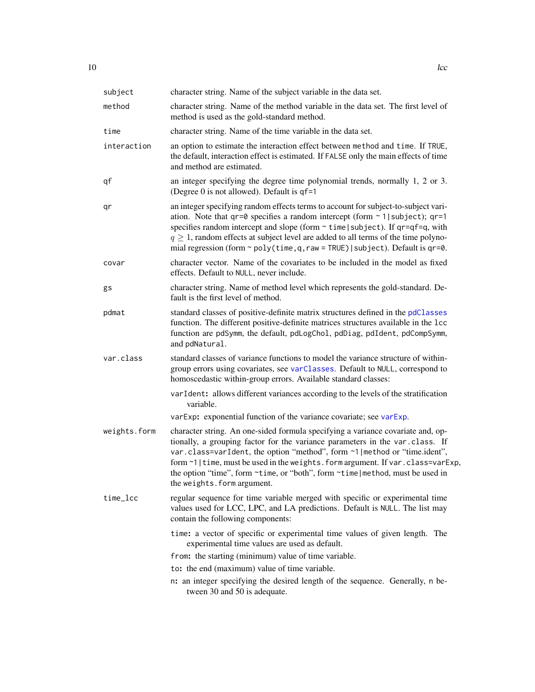<span id="page-9-0"></span>

| subject      | character string. Name of the subject variable in the data set.                                                                                                                                                                                                                                                                                                                                                                                       |
|--------------|-------------------------------------------------------------------------------------------------------------------------------------------------------------------------------------------------------------------------------------------------------------------------------------------------------------------------------------------------------------------------------------------------------------------------------------------------------|
| method       | character string. Name of the method variable in the data set. The first level of<br>method is used as the gold-standard method.                                                                                                                                                                                                                                                                                                                      |
| time         | character string. Name of the time variable in the data set.                                                                                                                                                                                                                                                                                                                                                                                          |
| interaction  | an option to estimate the interaction effect between method and time. If TRUE,<br>the default, interaction effect is estimated. If FALSE only the main effects of time<br>and method are estimated.                                                                                                                                                                                                                                                   |
| qf           | an integer specifying the degree time polynomial trends, normally 1, 2 or 3.<br>(Degree $0$ is not allowed). Default is $qf=1$                                                                                                                                                                                                                                                                                                                        |
| qr           | an integer specifying random effects terms to account for subject-to-subject vari-<br>ation. Note that $qr=0$ specifies a random intercept (form $\sim 1$ ) subject); $qr=1$<br>specifies random intercept and slope (form $\sim$ time   subject). If qr=qf=q, with<br>$q \geq 1$ , random effects at subject level are added to all terms of the time polyno-<br>mial regression (form $\sim$ poly(time, q, raw = TRUE)   subject). Default is qr=0. |
| covar        | character vector. Name of the covariates to be included in the model as fixed<br>effects. Default to NULL, never include.                                                                                                                                                                                                                                                                                                                             |
| gs           | character string. Name of method level which represents the gold-standard. De-<br>fault is the first level of method.                                                                                                                                                                                                                                                                                                                                 |
| pdmat        | standard classes of positive-definite matrix structures defined in the pdClasses<br>function. The different positive-definite matrices structures available in the 1cc<br>function are pdSymm, the default, pdLogChol, pdDiag, pdIdent, pdCompSymm,<br>and pdNatural.                                                                                                                                                                                 |
| var.class    | standard classes of variance functions to model the variance structure of within-<br>group errors using covariates, see varClasses. Default to NULL, correspond to<br>homoscedastic within-group errors. Available standard classes:                                                                                                                                                                                                                  |
|              | varIdent: allows different variances according to the levels of the stratification<br>variable.                                                                                                                                                                                                                                                                                                                                                       |
|              | varExp: exponential function of the variance covariate; see varExp.                                                                                                                                                                                                                                                                                                                                                                                   |
| weights.form | character string. An one-sided formula specifying a variance covariate and, op-<br>tionally, a grouping factor for the variance parameters in the var.class. If<br>var.class=varIdent, the option "method", form ~1   method or "time.ident",<br>form ~1   time, must be used in the weights. form argument. If var. class=varExp,<br>the option "time", form ~time, or "both", form ~time   method, must be used in<br>the weights. form argument.   |
| time_lcc     | regular sequence for time variable merged with specific or experimental time<br>values used for LCC, LPC, and LA predictions. Default is NULL. The list may<br>contain the following components:                                                                                                                                                                                                                                                      |
|              | time: a vector of specific or experimental time values of given length. The<br>experimental time values are used as default.<br>from: the starting (minimum) value of time variable.                                                                                                                                                                                                                                                                  |
|              | to: the end (maximum) value of time variable.                                                                                                                                                                                                                                                                                                                                                                                                         |
|              | n: an integer specifying the desired length of the sequence. Generally, n be-<br>tween 30 and 50 is adequate.                                                                                                                                                                                                                                                                                                                                         |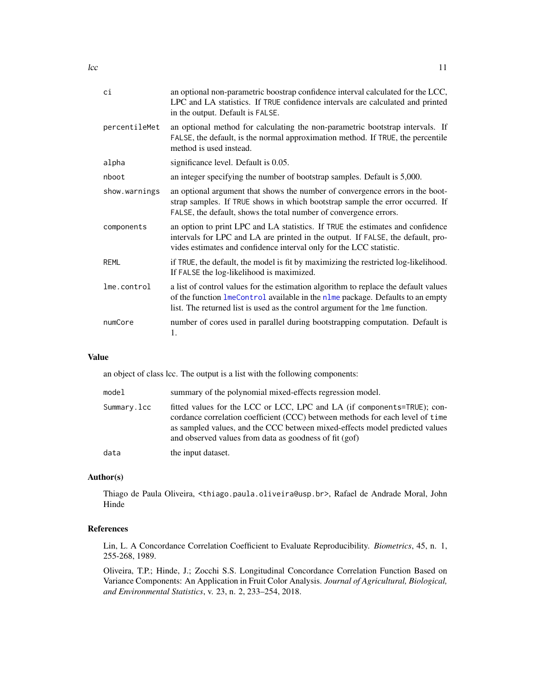<span id="page-10-0"></span>

| сi            | an optional non-parametric boostrap confidence interval calculated for the LCC,<br>LPC and LA statistics. If TRUE confidence intervals are calculated and printed<br>in the output. Default is FALSE.                                                  |
|---------------|--------------------------------------------------------------------------------------------------------------------------------------------------------------------------------------------------------------------------------------------------------|
| percentileMet | an optional method for calculating the non-parametric bootstrap intervals. If<br>FALSE, the default, is the normal approximation method. If TRUE, the percentile<br>method is used instead.                                                            |
| alpha         | significance level. Default is 0.05.                                                                                                                                                                                                                   |
| nboot         | an integer specifying the number of bootstrap samples. Default is 5,000.                                                                                                                                                                               |
| show.warnings | an optional argument that shows the number of convergence errors in the boot-<br>strap samples. If TRUE shows in which bootstrap sample the error occurred. If<br>FALSE, the default, shows the total number of convergence errors.                    |
| components    | an option to print LPC and LA statistics. If TRUE the estimates and confidence<br>intervals for LPC and LA are printed in the output. If FALSE, the default, pro-<br>vides estimates and confidence interval only for the LCC statistic.               |
| <b>REML</b>   | if TRUE, the default, the model is fit by maximizing the restricted log-likelihood.<br>If FALSE the log-likelihood is maximized.                                                                                                                       |
| lme.control   | a list of control values for the estimation algorithm to replace the default values<br>of the function lmeControl available in the nlme package. Defaults to an empty<br>list. The returned list is used as the control argument for the 1me function. |
| numCore       | number of cores used in parallel during bootstrapping computation. Default is<br>1.                                                                                                                                                                    |

#### Value

an object of class lcc. The output is a list with the following components:

| model       | summary of the polynomial mixed-effects regression model.                                                                                                                                                                                                                                         |
|-------------|---------------------------------------------------------------------------------------------------------------------------------------------------------------------------------------------------------------------------------------------------------------------------------------------------|
| Summary.lcc | fitted values for the LCC or LCC, LPC and LA (if components=TRUE); con-<br>cordance correlation coefficient (CCC) between methods for each level of time<br>as sampled values, and the CCC between mixed-effects model predicted values<br>and observed values from data as goodness of fit (gof) |
| data        | the input dataset.                                                                                                                                                                                                                                                                                |

#### Author(s)

Thiago de Paula Oliveira, <thiago.paula.oliveira@usp.br>, Rafael de Andrade Moral, John Hinde

#### References

Lin, L. A Concordance Correlation Coefficient to Evaluate Reproducibility. *Biometrics*, 45, n. 1, 255-268, 1989.

Oliveira, T.P.; Hinde, J.; Zocchi S.S. Longitudinal Concordance Correlation Function Based on Variance Components: An Application in Fruit Color Analysis. *Journal of Agricultural, Biological, and Environmental Statistics*, v. 23, n. 2, 233–254, 2018.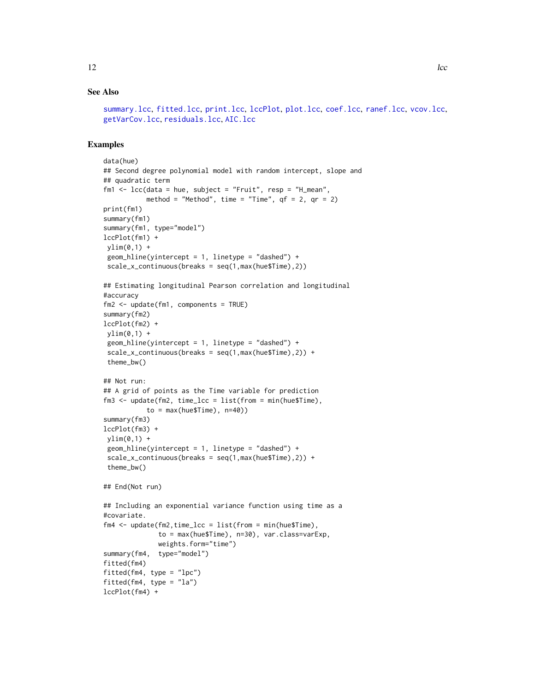```
summary.lcc, fitted.lcc, print.lcc, lccPlot, plot.lcc, coef.lcc, ranef.lcc, vcov.lcc,
getVarCov.lcc, residuals.lcc, AIC.lcc
```

```
data(hue)
## Second degree polynomial model with random intercept, slope and
## quadratic term
fm1 <- lcc(data = hue, subject = "Fruit", resp = "H_mean",
           method = "Method", time = "Time", qf = 2, qr = 2)
print(fm1)
summary(fm1)
summary(fm1, type="model")
lccPlot(fm1) +
ylim(0,1) +geom_hline(yintercept = 1, linetype = "dashed") +
 scale_x_continuous(breaks = seq(1,max(hue$Time), 2))## Estimating longitudinal Pearson correlation and longitudinal
#accuracy
fm2 \leq -update(fm1, components = TRUE)summary(fm2)
lccPlot(fm2) +
ylim(0,1) +
 geom\_hline(yintercept = 1, linetype = "dashed") +scale_x_{continuous(breaks = seq(1, max(hue$Time), 2)) +theme_bw()
## Not run:
## A grid of points as the Time variable for prediction
fm3 \leq update(fm2, time_lcc = list(from = min(hue$Time),
           to = max(hue$Time), n=40)summary(fm3)
lccPlot(fm3) +
 vlim(0,1) +
 geom_hline(yintercept = 1, linetype = "dashed") +
 scale_x_continuous(breaks = seq(1,max(hue$Time),2)) +
 theme_bw()
## End(Not run)
## Including an exponential variance function using time as a
#covariate.
fm4 \leq -\text{update}(fm2, \text{time\_lcc = list}(from = \text{min(hue$Time}),to = max(hue$Time), n=30), var.class=varExp,
              weights.form="time")
summary(fm4, type="model")
fitted(fm4)
fitted(fm4, type = "lpc")
fitted(fm4, type = "la")
lccPlot(fm4) +
```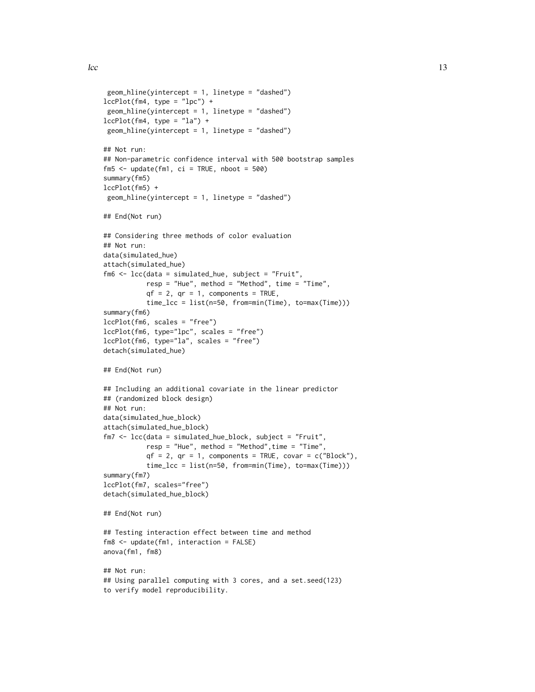```
geom\_hline(yintercept = 1, linetype = "dashed")lccPlot(fm4, type = "lpc") +geom_hline(yintercept = 1, linetype = "dashed")
lccPlot(fm4, type = "la") +geom\_hline(yintercept = 1, linetype = "dashed")## Not run:
## Non-parametric confidence interval with 500 bootstrap samples
fm5 < - update(fm1, ci = TRUE, nboot = 500)
summary(fm5)
lccPlot(fm5) +
geom_hline(yintercept = 1, linetype = "dashed")
## End(Not run)
## Considering three methods of color evaluation
## Not run:
data(simulated_hue)
attach(simulated_hue)
fm6 <- lcc(data = simulated_hue, subject = "Fruit",
           resp = "Hue", method = "Method", time = "Time",
           qf = 2, qr = 1, components = TRUE,
           time_lcc = list(n=50, from=min(Time), to=max(Time)))
summary(fm6)
lccPlot(fm6, scales = "free")
lccPlot(fm6, type="lpc", scales = "free")
lccPlot(fm6, type="la", scales = "free")
detach(simulated_hue)
## End(Not run)
## Including an additional covariate in the linear predictor
## (randomized block design)
## Not run:
data(simulated_hue_block)
attach(simulated_hue_block)
fm7 <- lcc(data = simulated_hue_block, subject = "Fruit",
          resp = "Hue", method = "Method",time = "Time",
           qf = 2, qr = 1, components = TRUE, covar = c("Block"),
           time_lcc = list(n=50, from=min(Time), to=max(Time)))
summary(fm7)
lccPlot(fm7, scales="free")
detach(simulated_hue_block)
## End(Not run)
## Testing interaction effect between time and method
fm8 <- update(fm1, interaction = FALSE)
anova(fm1, fm8)
## Not run:
## Using parallel computing with 3 cores, and a set.seed(123)
to verify model reproducibility.
```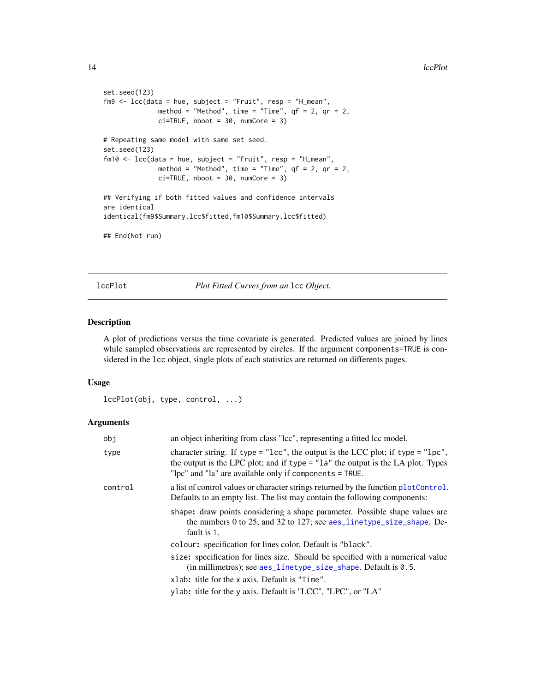```
set.seed(123)
fmg \leq 1cc (data = hue, subject = "Fruit", resp = "H_mean",
             method = "Method", time = "Time", qf = 2, qr = 2,
             ci=TRUE, nboot = 30, numCore = 3)
# Repeating same model with same set seed.
set.seed(123)
fm10 <- lcc(data = hue, subject = "Fruit", resp = "H_mean",
             method = "Method", time = "Time", qf = 2, qr = 2,
             ci=TRUE, nboot = 30, numCore = 3)
## Verifying if both fitted values and confidence intervals
are identical
identical(fm9$Summary.lcc$fitted,fm10$Summary.lcc$fitted)
## End(Not run)
```
<span id="page-13-1"></span>lccPlot *Plot Fitted Curves from an* lcc *Object.*

#### Description

A plot of predictions versus the time covariate is generated. Predicted values are joined by lines while sampled observations are represented by circles. If the argument components=TRUE is considered in the lcc object, single plots of each statistics are returned on differents pages.

#### Usage

```
lccPlot(obj, type, control, ...)
```
#### Arguments

| obj     | an object inheriting from class "lcc", representing a fitted lcc model.                                                                                                                                                                               |
|---------|-------------------------------------------------------------------------------------------------------------------------------------------------------------------------------------------------------------------------------------------------------|
| type    | character string. If type = " $\text{1cc}$ ", the output is the LCC plot; if type = " $\text{1pc}$ ",<br>the output is the LPC plot; and if type $=$ "1a" the output is the LA plot. Types<br>"lpc" and "la" are available only if components = TRUE. |
| control | a list of control values or character strings returned by the function plotControl.<br>Defaults to an empty list. The list may contain the following components:                                                                                      |
|         | shape: draw points considering a shape parameter. Possible shape values are<br>the numbers 0 to 25, and 32 to 127; see aes_linetype_size_shape. De-<br>fault is 1.                                                                                    |
|         | colour: specification for lines color. Default is "black".                                                                                                                                                                                            |
|         | size: specification for lines size. Should be specified with a numerical value<br>$(in millimetres); see aes_linetype_size_shape. Default is 0.5.$                                                                                                    |
|         | xlab: title for the x axis. Default is "Time".                                                                                                                                                                                                        |
|         | ylab: title for the y axis. Default is "LCC", "LPC", or "LA"                                                                                                                                                                                          |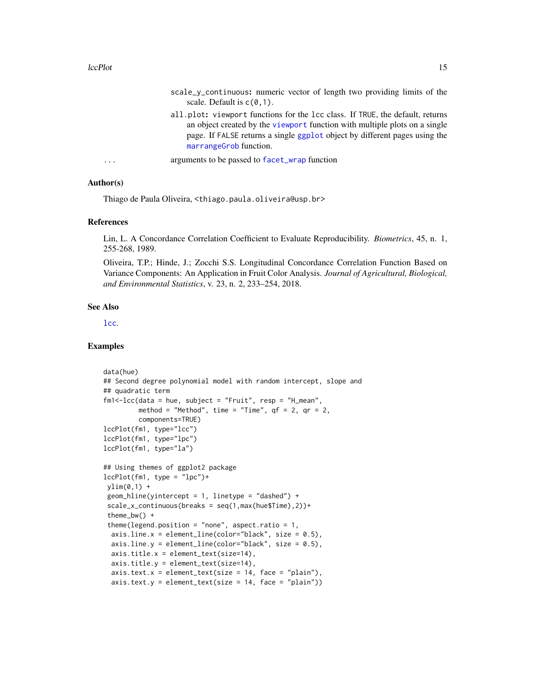#### <span id="page-14-0"></span>lccPlot the state of the state of the state of the state of the state of the state of the state of the state of the state of the state of the state of the state of the state of the state of the state of the state of the st

scale\_y\_continuous: numeric vector of length two providing limits of the scale. Default is  $c(0,1)$ . all.plot: viewport functions for the lcc class. If TRUE, the default, returns an object created by the [viewport](#page-0-0) function with multiple plots on a single page. If FALSE returns a single [ggplot](#page-0-0) object by different pages using the [marrangeGrob](#page-0-0) function. ... arguments to be passed to [facet\\_wrap](#page-0-0) function

### Author(s)

Thiago de Paula Oliveira, <thiago.paula.oliveira@usp.br>

#### References

Lin, L. A Concordance Correlation Coefficient to Evaluate Reproducibility. *Biometrics*, 45, n. 1, 255-268, 1989.

Oliveira, T.P.; Hinde, J.; Zocchi S.S. Longitudinal Concordance Correlation Function Based on Variance Components: An Application in Fruit Color Analysis. *Journal of Agricultural, Biological, and Environmental Statistics*, v. 23, n. 2, 233–254, 2018.

#### See Also

[lcc](#page-8-1).

```
data(hue)
## Second degree polynomial model with random intercept, slope and
## quadratic term
fm1<-lcc(data = hue, subject = "Fruit", resp = "H_mean",
         method = "Method", time = "Time", qf = 2, qr = 2,
         components=TRUE)
lccPlot(fm1, type="lcc")
lccPlot(fm1, type="lpc")
lccPlot(fm1, type="la")
## Using themes of ggplot2 package
lccPlot(fm1, type = "lpc")+ylim(0,1) +
geom_hline(yintercept = 1, linetype = "dashed") +
 scale_x_continuous(breaks = seq(1,max(hue$Time),2))+
 theme_bw() +
 theme(legend.position = "none", aspect.ratio = 1,
 axis.line.x = element_line(color="black", size = 0.5),
 axis. line.y = element_line(color="black", size = 0.5),
 axis.title.x = element_text(size=14),
 axis.title.y = element_text(size=14),
 axis. text.x = element\_text(size = 14, face = "plain"),axis.text.y = element\_text(size = 14, face = "plain")
```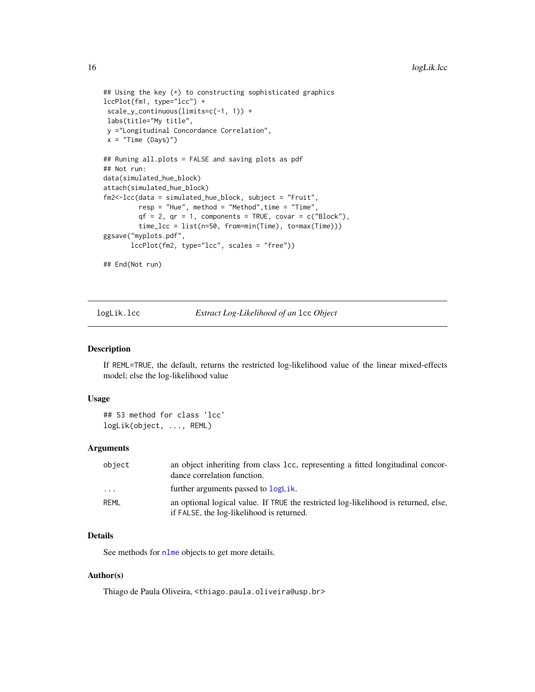```
## Using the key (+) to constructing sophisticated graphics
lccPlot(fm1, type="lcc") +
scale_y_continuous(limits=c(-1, 1)) +
labs(title="My title",
y ="Longitudinal Concordance Correlation",
x = "Time (Days)")## Runing all.plots = FALSE and saving plots as pdf
## Not run:
data(simulated_hue_block)
attach(simulated_hue_block)
fm2<-lcc(data = simulated_hue_block, subject = "Fruit",
         resp = "Hue", method = "Method", time = "Time",qf = 2, qr = 1, components = TRUE, covar = c("Block"),
         time_lcc = list(n=50, from=min(Time), to=max(Time)))
ggsave("myplots.pdf",
      lccPlot(fm2, type="lcc", scales = "free"))
## End(Not run)
```
logLik.lcc *Extract Log-Likelihood of an* lcc *Object*

#### Description

If REML=TRUE, the default, returns the restricted log-likelihood value of the linear mixed-effects model; else the log-likelihood value

#### Usage

## S3 method for class 'lcc' logLik(object, ..., REML)

#### Arguments

| object                  | an object inheriting from class 1cc, representing a fitted longitudinal concor-<br>dance correlation function.                   |
|-------------------------|----------------------------------------------------------------------------------------------------------------------------------|
| $\cdot$ $\cdot$ $\cdot$ | further arguments passed to logLik.                                                                                              |
| RFMI                    | an optional logical value. If TRUE the restricted log-likelihood is returned, else,<br>if FALSE, the log-likelihood is returned. |

#### Details

See methods for [nlme](#page-0-0) objects to get more details.

#### Author(s)

Thiago de Paula Oliveira, <thiago.paula.oliveira@usp.br>

<span id="page-15-0"></span>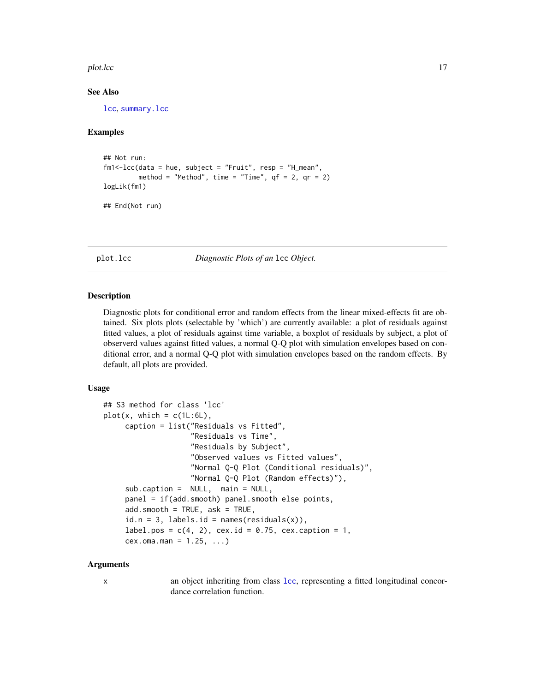#### <span id="page-16-0"></span>plot.lcc in the state of the state of the state of the state of the state of the state of the state of the state of the state of the state of the state of the state of the state of the state of the state of the state of th

#### See Also

[lcc](#page-8-1), [summary.lcc](#page-24-1)

#### Examples

```
## Not run:
fm1<-lcc(data = hue, subject = "Fruit", resp = "H_mean",
        method = "Method", time = "Time", qf = 2, qr = 2)
logLik(fm1)
## End(Not run)
```
<span id="page-16-1"></span>plot.lcc *Diagnostic Plots of an* lcc *Object.*

#### Description

Diagnostic plots for conditional error and random effects from the linear mixed-effects fit are obtained. Six plots plots (selectable by 'which') are currently available: a plot of residuals against fitted values, a plot of residuals against time variable, a boxplot of residuals by subject, a plot of observerd values against fitted values, a normal Q-Q plot with simulation envelopes based on conditional error, and a normal Q-Q plot with simulation envelopes based on the random effects. By default, all plots are provided.

#### Usage

```
## S3 method for class 'lcc'
plot(x, which = c(1L:6L),caption = list("Residuals vs Fitted",
                    "Residuals vs Time",
                    "Residuals by Subject",
                    "Observed values vs Fitted values",
                    "Normal Q-Q Plot (Conditional residuals)",
                    "Normal Q-Q Plot (Random effects)"),
     sub.caption = NULL, main = NULL,
     panel = if(add.smooth) panel.smooth else points,
     add.smooth = TRUE, ask = TRUE,id.n = 3, labels.id = names(residuals(x)),
     label.pos = c(4, 2), cex.id = 0.75, cex.caption = 1,
     cex.oma.max = 1.25, ...
```
#### Arguments

x an object inheriting from class [lcc](#page-8-1), representing a fitted longitudinal concordance correlation function.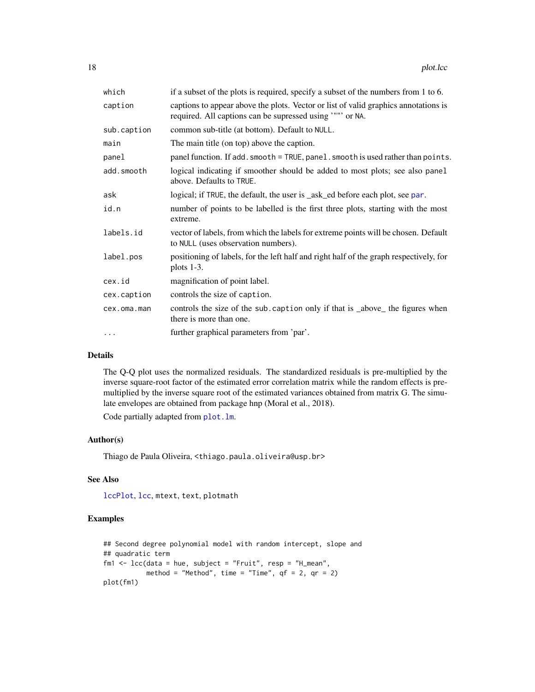<span id="page-17-0"></span>

| which       | if a subset of the plots is required, specify a subset of the numbers from 1 to 6.                                                              |
|-------------|-------------------------------------------------------------------------------------------------------------------------------------------------|
| caption     | captions to appear above the plots. Vector or list of valid graphics annotations is<br>required. All captions can be supressed using '"" or NA. |
| sub.caption | common sub-title (at bottom). Default to NULL.                                                                                                  |
| main        | The main title (on top) above the caption.                                                                                                      |
| panel       | panel function. If add. smooth = TRUE, panel. smooth is used rather than points.                                                                |
| add.smooth  | logical indicating if smoother should be added to most plots; see also panel<br>above. Defaults to TRUE.                                        |
| ask         | logical; if TRUE, the default, the user is _ask_ed before each plot, see par.                                                                   |
| id.n        | number of points to be labelled is the first three plots, starting with the most<br>extreme.                                                    |
| labels.id   | vector of labels, from which the labels for extreme points will be chosen. Default<br>to NULL (uses observation numbers).                       |
| label.pos   | positioning of labels, for the left half and right half of the graph respectively, for<br>plots $1-3$ .                                         |
| cex.id      | magnification of point label.                                                                                                                   |
| cex.caption | controls the size of caption.                                                                                                                   |
| cex.oma.man | controls the size of the sub. caption only if that is _above_ the figures when<br>there is more than one.                                       |
| $\cdots$    | further graphical parameters from 'par'.                                                                                                        |
|             |                                                                                                                                                 |

#### Details

The Q-Q plot uses the normalized residuals. The standardized residuals is pre-multiplied by the inverse square-root factor of the estimated error correlation matrix while the random effects is premultiplied by the inverse square root of the estimated variances obtained from matrix G. The simulate envelopes are obtained from package hnp (Moral et al., 2018).

Code partially adapted from [plot.lm](#page-0-0).

#### Author(s)

Thiago de Paula Oliveira, <thiago.paula.oliveira@usp.br>

#### See Also

[lccPlot](#page-13-1), [lcc](#page-8-1), mtext, text, plotmath

```
## Second degree polynomial model with random intercept, slope and
## quadratic term
fm1 <- lcc(data = hue, subject = "Fruit", resp = "H_mean",
          method = "Method", time = "Time", qf = 2, qr = 2)
plot(fm1)
```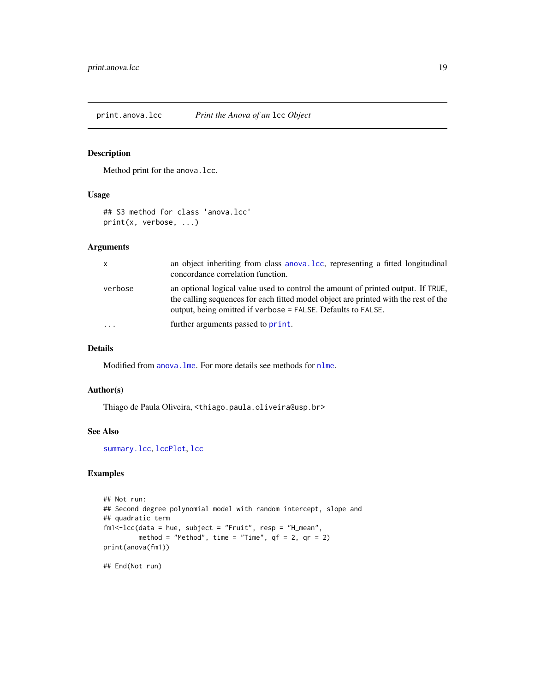<span id="page-18-0"></span>Method print for the anova.lcc.

#### Usage

```
## S3 method for class 'anova.lcc'
print(x, verbose, ...)
```
#### Arguments

| $\mathsf{x}$ | an object inheriting from class anova. Lcc, representing a fitted longitudinal<br>concordance correlation function.                                                                                                                     |
|--------------|-----------------------------------------------------------------------------------------------------------------------------------------------------------------------------------------------------------------------------------------|
| verbose      | an optional logical value used to control the amount of printed output. If TRUE,<br>the calling sequences for each fitted model object are printed with the rest of the<br>output, being omitted if verbose = FALSE. Defaults to FALSE. |
|              | further arguments passed to print.                                                                                                                                                                                                      |

#### Details

Modified from [anova.lme](#page-0-0). For more details see methods for [nlme](#page-0-0).

#### Author(s)

Thiago de Paula Oliveira, <thiago.paula.oliveira@usp.br>

#### See Also

[summary.lcc](#page-24-1), [lccPlot](#page-13-1), [lcc](#page-8-1)

#### Examples

```
## Not run:
## Second degree polynomial model with random intercept, slope and
## quadratic term
fm1<-lcc(data = hue, subject = "Fruit", resp = "H_mean",
        method = "Method", time = "Time", qf = 2, qr = 2)
print(anova(fm1))
```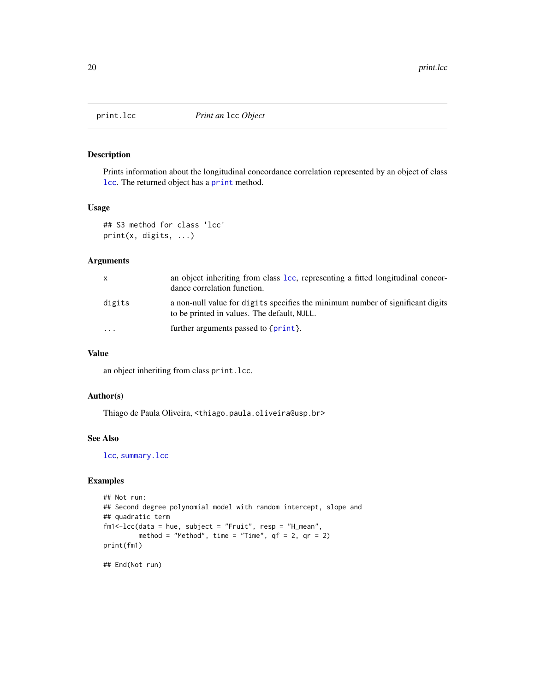<span id="page-19-1"></span><span id="page-19-0"></span>

Prints information about the longitudinal concordance correlation represented by an object of class [lcc](#page-8-1). The returned object has a [print](#page-0-0) method.

#### Usage

```
## S3 method for class 'lcc'
print(x, digits, ...)
```
#### Arguments

| x         | an object inheriting from class Lcc, representing a fitted longitudinal concor-<br>dance correlation function.                |
|-----------|-------------------------------------------------------------------------------------------------------------------------------|
| digits    | a non-null value for digits specifies the minimum number of significant digits<br>to be printed in values. The default, NULL. |
| $\ddotsc$ | further arguments passed to $\{\text{print}\}.$                                                                               |

#### Value

an object inheriting from class print.lcc.

#### Author(s)

Thiago de Paula Oliveira, <thiago.paula.oliveira@usp.br>

#### See Also

[lcc](#page-8-1), [summary.lcc](#page-24-1)

#### Examples

```
## Not run:
## Second degree polynomial model with random intercept, slope and
## quadratic term
fm1<-lcc(data = hue, subject = "Fruit", resp = "H_mean",
        method = "Method", time = "Time", qf = 2, qr = 2)
print(fm1)
```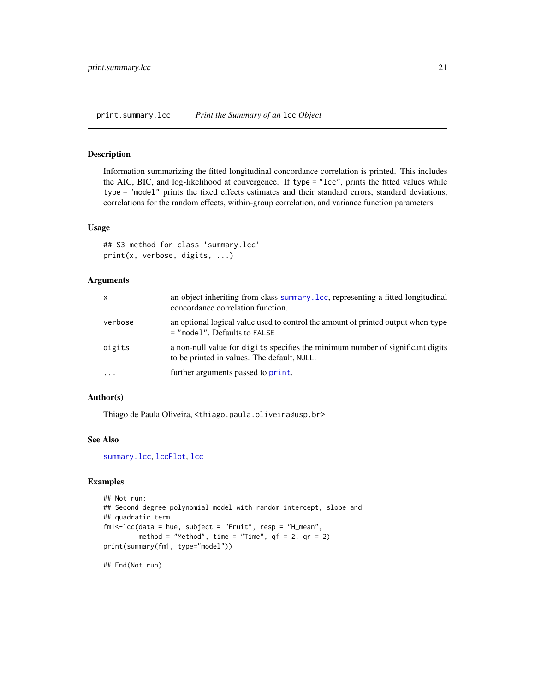<span id="page-20-0"></span>print.summary.lcc *Print the Summary of an* lcc *Object*

#### Description

Information summarizing the fitted longitudinal concordance correlation is printed. This includes the AIC, BIC, and log-likelihood at convergence. If type = "lcc", prints the fitted values while type = "model" prints the fixed effects estimates and their standard errors, standard deviations, correlations for the random effects, within-group correlation, and variance function parameters.

#### Usage

```
## S3 method for class 'summary.lcc'
print(x, verbose, digits, ...)
```
#### Arguments

| $\mathsf{x}$ | an object inheriting from class summary. Lcc, representing a fitted longitudinal<br>concordance correlation function.         |
|--------------|-------------------------------------------------------------------------------------------------------------------------------|
| verbose      | an optional logical value used to control the amount of printed output when type<br>$=$ "model". Defaults to FALSE            |
| digits       | a non-null value for digits specifies the minimum number of significant digits<br>to be printed in values. The default, NULL. |
| $\ddotsc$    | further arguments passed to print.                                                                                            |

#### Author(s)

Thiago de Paula Oliveira, <thiago.paula.oliveira@usp.br>

#### See Also

[summary.lcc](#page-24-1), [lccPlot](#page-13-1), [lcc](#page-8-1)

#### Examples

```
## Not run:
## Second degree polynomial model with random intercept, slope and
## quadratic term
fm1<-lcc(data = hue, subject = "Fruit", resp = "H_mean",
        method = "Method", time = "Time", qf = 2, qr = 2)
print(summary(fm1, type="model"))
```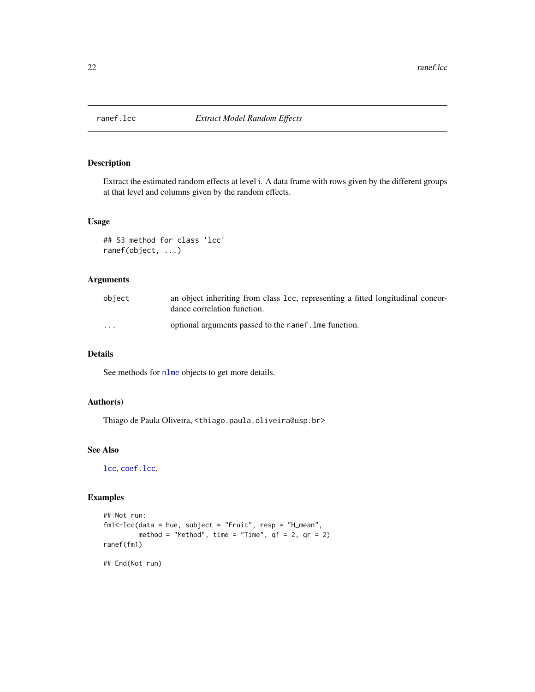<span id="page-21-1"></span><span id="page-21-0"></span>

Extract the estimated random effects at level i. A data frame with rows given by the different groups at that level and columns given by the random effects.

#### Usage

```
## S3 method for class 'lcc'
ranef(object, ...)
```
#### Arguments

| object   | an object inheriting from class 1cc, representing a fitted longitudinal concor-<br>dance correlation function. |
|----------|----------------------------------------------------------------------------------------------------------------|
| $\cdots$ | optional arguments passed to the ranef. Ime function.                                                          |

#### Details

See methods for [nlme](#page-0-0) objects to get more details.

#### Author(s)

Thiago de Paula Oliveira, <thiago.paula.oliveira@usp.br>

#### See Also

[lcc](#page-8-1), [coef.lcc](#page-4-1),

```
## Not run:
fm1<-lcc(data = hue, subject = "Fruit", resp = "H_mean",
        method = "Method", time = "Time", qf = 2, qr = 2)
ranef(fm1)
## End(Not run)
```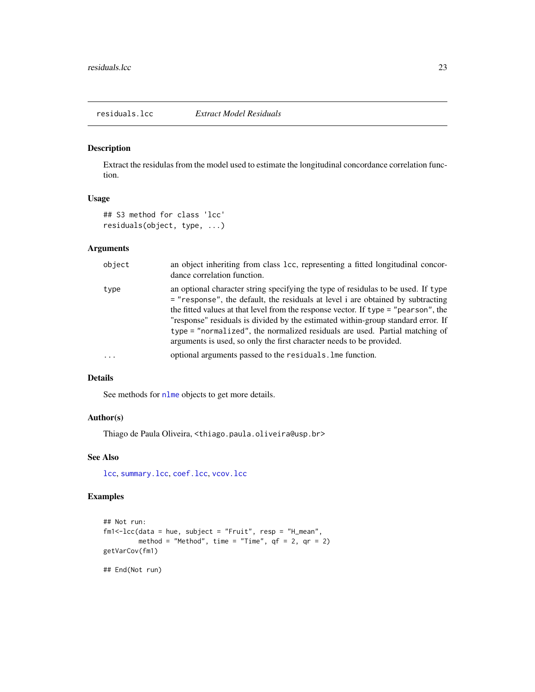<span id="page-22-1"></span><span id="page-22-0"></span>Extract the residulas from the model used to estimate the longitudinal concordance correlation function.

#### Usage

```
## S3 method for class 'lcc'
residuals(object, type, ...)
```
#### Arguments

| object     | an object inheriting from class 1cc, representing a fitted longitudinal concor-<br>dance correlation function.                                                                                                                                                                                                                                                                                                                                                                                          |
|------------|---------------------------------------------------------------------------------------------------------------------------------------------------------------------------------------------------------------------------------------------------------------------------------------------------------------------------------------------------------------------------------------------------------------------------------------------------------------------------------------------------------|
| type       | an optional character string specifying the type of residulas to be used. If type<br>$=$ "response", the default, the residuals at level i are obtained by subtracting<br>the fitted values at that level from the response vector. If type = "pearson", the<br>"response" residuals is divided by the estimated within-group standard error. If<br>type = "normalized", the normalized residuals are used. Partial matching of<br>arguments is used, so only the first character needs to be provided. |
| $\ddots$ . | optional arguments passed to the residuals. Ime function.                                                                                                                                                                                                                                                                                                                                                                                                                                               |

#### Details

See methods for [nlme](#page-0-0) objects to get more details.

#### Author(s)

Thiago de Paula Oliveira, <thiago.paula.oliveira@usp.br>

#### See Also

[lcc](#page-8-1), [summary.lcc](#page-24-1), [coef.lcc](#page-4-1), [vcov.lcc](#page-26-1)

```
## Not run:
fm1<-lcc(data = hue, subject = "Fruit", resp = "H_mean",
        method = "Method", time = "Time", qf = 2, qr = 2)
getVarCov(fm1)
## End(Not run)
```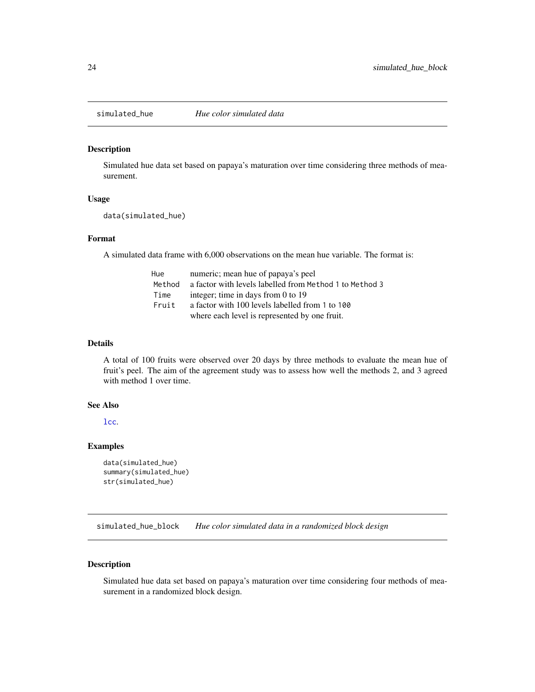<span id="page-23-0"></span>

Simulated hue data set based on papaya's maturation over time considering three methods of measurement.

#### Usage

data(simulated\_hue)

#### Format

A simulated data frame with 6,000 observations on the mean hue variable. The format is:

| Hue    | numeric; mean hue of papaya's peel                      |
|--------|---------------------------------------------------------|
| Method | a factor with levels labelled from Method 1 to Method 3 |
| Time   | integer; time in days from 0 to 19                      |
| Fruit  | a factor with 100 levels labelled from 1 to 100         |
|        | where each level is represented by one fruit.           |

#### Details

A total of 100 fruits were observed over 20 days by three methods to evaluate the mean hue of fruit's peel. The aim of the agreement study was to assess how well the methods 2, and 3 agreed with method 1 over time.

#### See Also

[lcc](#page-8-1).

#### Examples

```
data(simulated_hue)
summary(simulated_hue)
str(simulated_hue)
```
simulated\_hue\_block *Hue color simulated data in a randomized block design*

#### Description

Simulated hue data set based on papaya's maturation over time considering four methods of measurement in a randomized block design.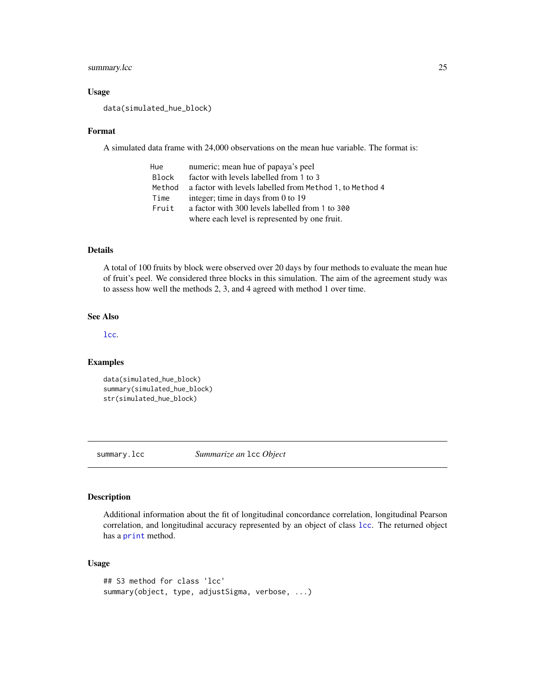#### <span id="page-24-0"></span>summary.lcc 25

#### Usage

data(simulated\_hue\_block)

#### Format

A simulated data frame with 24,000 observations on the mean hue variable. The format is:

| Hue    | numeric; mean hue of papaya's peel                       |
|--------|----------------------------------------------------------|
| Block  | factor with levels labelled from 1 to 3                  |
| Method | a factor with levels labelled from Method 1, to Method 4 |
| Time   | integer; time in days from 0 to 19                       |
| Fruit  | a factor with 300 levels labelled from 1 to 300          |
|        | where each level is represented by one fruit.            |

#### Details

A total of 100 fruits by block were observed over 20 days by four methods to evaluate the mean hue of fruit's peel. We considered three blocks in this simulation. The aim of the agreement study was to assess how well the methods 2, 3, and 4 agreed with method 1 over time.

#### See Also

[lcc](#page-8-1).

#### Examples

```
data(simulated_hue_block)
summary(simulated_hue_block)
str(simulated_hue_block)
```
<span id="page-24-1"></span>summary.lcc *Summarize an* lcc *Object*

#### Description

Additional information about the fit of longitudinal concordance correlation, longitudinal Pearson correlation, and longitudinal accuracy represented by an object of class [lcc](#page-8-1). The returned object has a [print](#page-0-0) method.

#### Usage

```
## S3 method for class 'lcc'
summary(object, type, adjustSigma, verbose, ...)
```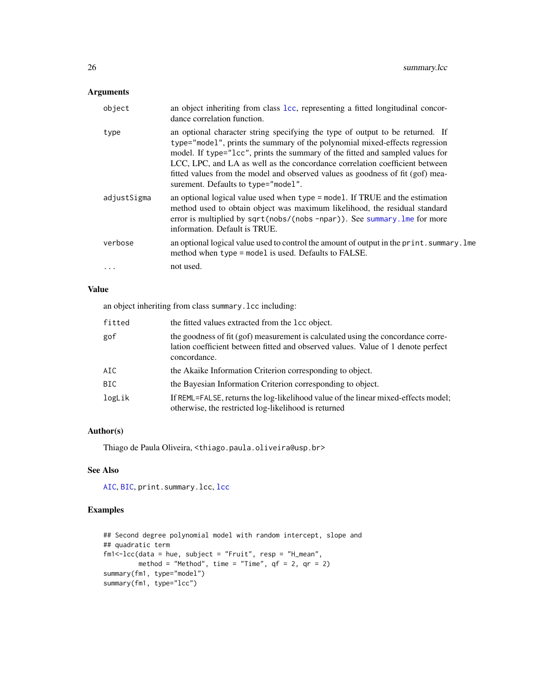#### <span id="page-25-0"></span>Arguments

| object      | an object inheriting from class 1cc, representing a fitted longitudinal concor-<br>dance correlation function.                                                                                                                                                                                                                                                                                                                                        |
|-------------|-------------------------------------------------------------------------------------------------------------------------------------------------------------------------------------------------------------------------------------------------------------------------------------------------------------------------------------------------------------------------------------------------------------------------------------------------------|
| type        | an optional character string specifying the type of output to be returned. If<br>type="model", prints the summary of the polynomial mixed-effects regression<br>model. If type="1cc", prints the summary of the fitted and sampled values for<br>LCC, LPC, and LA as well as the concordance correlation coefficient between<br>fitted values from the model and observed values as goodness of fit (gof) mea-<br>surement. Defaults to type="model". |
| adjustSigma | an optional logical value used when type = model. If TRUE and the estimation<br>method used to obtain object was maximum likelihood, the residual standard<br>error is multiplied by sqrt(nobs/(nobs -npar)). See summary. Ime for more<br>information. Default is TRUE.                                                                                                                                                                              |
| verbose     | an optional logical value used to control the amount of output in the print. summary. Ime<br>method when type = model is used. Defaults to FALSE.                                                                                                                                                                                                                                                                                                     |
| .           | not used.                                                                                                                                                                                                                                                                                                                                                                                                                                             |

#### Value

an object inheriting from class summary.lcc including:

| fitted | the fitted values extracted from the lcc object.                                                                                                                                     |
|--------|--------------------------------------------------------------------------------------------------------------------------------------------------------------------------------------|
| gof    | the goodness of fit (gof) measurement is calculated using the concordance corre-<br>lation coefficient between fitted and observed values. Value of 1 denote perfect<br>concordance. |
| AIC    | the Akaike Information Criterion corresponding to object.                                                                                                                            |
| BIC.   | the Bayesian Information Criterion corresponding to object.                                                                                                                          |
| logLik | If REML=FALSE, returns the log-likelihood value of the linear mixed-effects model;<br>otherwise, the restricted log-likelihood is returned                                           |

#### Author(s)

Thiago de Paula Oliveira, <thiago.paula.oliveira@usp.br>

#### See Also

[AIC](#page-0-0), [BIC](#page-0-0), print.summary.lcc, [lcc](#page-8-1)

```
## Second degree polynomial model with random intercept, slope and
## quadratic term
fm1<-lcc(data = hue, subject = "Fruit", resp = "H_mean",
        method = "Method", time = "Time", qf = 2, qr = 2)
summary(fm1, type="model")
summary(fm1, type="lcc")
```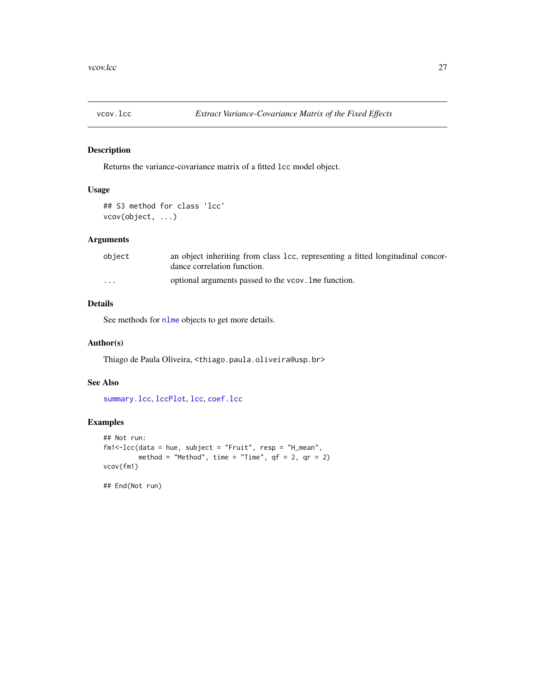<span id="page-26-1"></span><span id="page-26-0"></span>

Returns the variance-covariance matrix of a fitted lcc model object.

#### Usage

## S3 method for class 'lcc' vcov(object, ...)

#### Arguments

| object   | an object inheriting from class 1cc, representing a fitted longitudinal concor-<br>dance correlation function. |
|----------|----------------------------------------------------------------------------------------------------------------|
| $\cdots$ | optional arguments passed to the vcov. Ime function.                                                           |

### Details

See methods for [nlme](#page-0-0) objects to get more details.

#### Author(s)

Thiago de Paula Oliveira, <thiago.paula.oliveira@usp.br>

#### See Also

[summary.lcc](#page-24-1), [lccPlot](#page-13-1), [lcc](#page-8-1), [coef.lcc](#page-4-1)

#### Examples

```
## Not run:
fm1<-lcc(data = hue, subject = "Fruit", resp = "H_mean",
        method = "Method", time = "Time", qf = 2, qr = 2)
vcov(fm1)
```